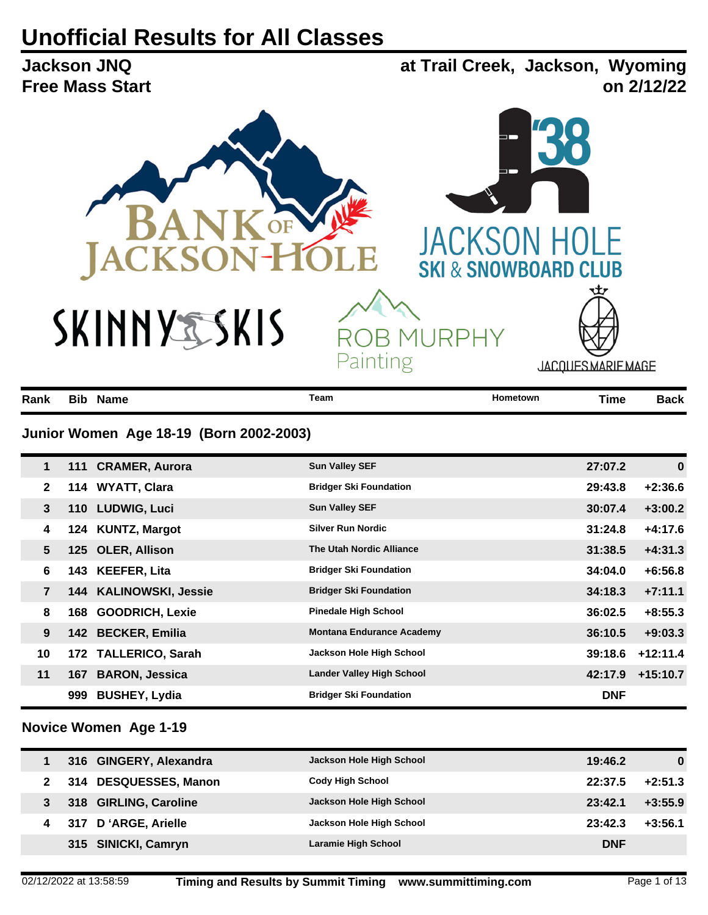# **Unofficial Results for All Classes**

**at Trail Creek, Jackson, Wyoming Jackson JNQ Free Mass Start on 2/12/22** OF JACKSO CKSC **SKI & SNOWBOARD CLUB** SKINNYSSKIS **B MURPHY** RO Painting JACQUES MARIE MAGE

| Rank           |     | <b>Bib Name</b>                         | <b>Team</b>                   | Hometown | <b>Time</b> | <b>Back</b> |
|----------------|-----|-----------------------------------------|-------------------------------|----------|-------------|-------------|
|                |     | Junior Women Age 18-19 (Born 2002-2003) |                               |          |             |             |
| 1              |     | 111 CRAMER, Aurora                      | <b>Sun Valley SEF</b>         |          | 27:07.2     | $\bf{0}$    |
| $\mathbf{2}$   |     | 114 WYATT, Clara                        | <b>Bridger Ski Foundation</b> |          | 29:43.8     | $+2:36.6$   |
| 3              |     | 110 LUDWIG, Luci                        | <b>Sun Valley SEF</b>         |          | 30:07.4     | $+3:00.2$   |
| 4              |     | 124 KUNTZ, Margot                       | <b>Silver Run Nordic</b>      |          | 31:24.8     | $+4:17.6$   |
| 5              |     | 125 OLER, Allison                       | The Utah Nordic Alliance      |          | 31:38.5     | $+4:31.3$   |
| 6              | 143 | <b>KEEFER, Lita</b>                     | <b>Bridger Ski Foundation</b> |          | 34:04.0     | $+6:56.8$   |
| $\overline{7}$ |     | 144 KALINOWSKI, Jessie                  | <b>Bridger Ski Foundation</b> |          | 34:18.3     | $+7:11.1$   |
| 8              | 168 | <b>GOODRICH, Lexie</b>                  | <b>Pinedale High School</b>   |          | 36:02.5     | $+8:55.3$   |

|    | 168 GOODRICH, Lexie  | <b>Pinedale High School</b>      |            | $36:02.5 + 8:55.3$ |
|----|----------------------|----------------------------------|------------|--------------------|
| 9  | 142 BECKER, Emilia   | <b>Montana Endurance Academy</b> | 36:10.5    | $+9:03.3$          |
| 10 | 172 TALLERICO, Sarah | Jackson Hole High School         |            | $39:18.6$ +12:11.4 |
| 11 | 167 BARON, Jessica   | <b>Lander Valley High School</b> |            | 42:17.9 +15:10.7   |
|    | 999 BUSHEY, Lydia    | <b>Bridger Ski Foundation</b>    | <b>DNF</b> |                    |

#### **Novice Women Age 1-19**

| 316 GINGERY, Alexandra | Jackson Hole High School | 19:46.2    | 0         |
|------------------------|--------------------------|------------|-----------|
| 314 DESQUESSES, Manon  | <b>Cody High School</b>  | 22:37.5    | $+2:51.3$ |
| 318 GIRLING, Caroline  | Jackson Hole High School | 23:42.1    | $+3:55.9$ |
| 317 D'ARGE, Arielle    | Jackson Hole High School | 23:42.3    | $+3:56.1$ |
| 315 SINICKI, Camryn    | Laramie High School      | <b>DNF</b> |           |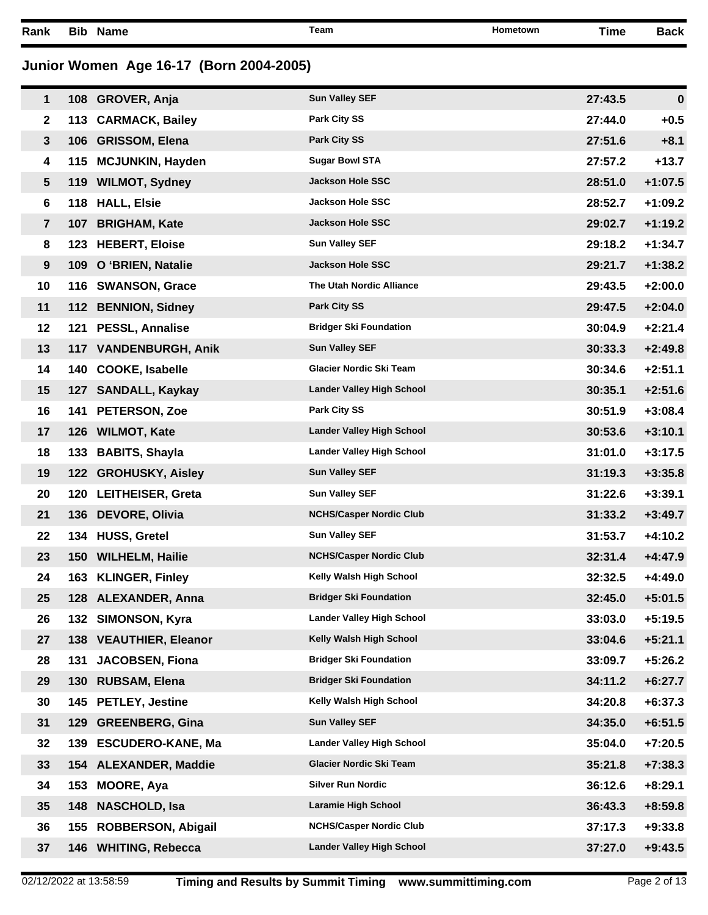**Rank Bib Name Team Hometown Time Back**

# **Junior Women Age 16-17 (Born 2004-2005)**

| 1              | 108 GROVER, Anja       | <b>Sun Valley SEF</b>            | 27:43.5 | $\bf{0}$  |
|----------------|------------------------|----------------------------------|---------|-----------|
| $\mathbf{2}$   | 113 CARMACK, Bailey    | Park City SS                     | 27:44.0 | $+0.5$    |
| $\mathbf{3}$   | 106 GRISSOM, Elena     | <b>Park City SS</b>              | 27:51.6 | $+8.1$    |
| 4              | 115 MCJUNKIN, Hayden   | <b>Sugar Bowl STA</b>            | 27:57.2 | $+13.7$   |
| $5\phantom{1}$ | 119 WILMOT, Sydney     | <b>Jackson Hole SSC</b>          | 28:51.0 | $+1:07.5$ |
| 6              | 118 HALL, Elsie        | <b>Jackson Hole SSC</b>          | 28:52.7 | $+1:09.2$ |
| $\overline{7}$ | 107 BRIGHAM, Kate      | Jackson Hole SSC                 | 29:02.7 | $+1:19.2$ |
| 8              | 123 HEBERT, Eloise     | <b>Sun Valley SEF</b>            | 29:18.2 | $+1:34.7$ |
| 9              | 109 O 'BRIEN, Natalie  | <b>Jackson Hole SSC</b>          | 29:21.7 | $+1:38.2$ |
| 10             | 116 SWANSON, Grace     | The Utah Nordic Alliance         | 29:43.5 | $+2:00.0$ |
| 11             | 112 BENNION, Sidney    | <b>Park City SS</b>              | 29:47.5 | $+2:04.0$ |
| 12             | 121 PESSL, Annalise    | <b>Bridger Ski Foundation</b>    | 30:04.9 | $+2:21.4$ |
| 13             | 117 VANDENBURGH, Anik  | <b>Sun Valley SEF</b>            | 30:33.3 | $+2:49.8$ |
| 14             | 140 COOKE, Isabelle    | Glacier Nordic Ski Team          | 30:34.6 | $+2:51.1$ |
| 15             | 127 SANDALL, Kaykay    | <b>Lander Valley High School</b> | 30:35.1 | $+2:51.6$ |
| 16             | 141 PETERSON, Zoe      | Park City SS                     | 30:51.9 | $+3:08.4$ |
| 17             | 126 WILMOT, Kate       | <b>Lander Valley High School</b> | 30:53.6 | $+3:10.1$ |
| 18             | 133 BABITS, Shayla     | <b>Lander Valley High School</b> | 31:01.0 | $+3:17.5$ |
| 19             | 122 GROHUSKY, Aisley   | <b>Sun Valley SEF</b>            | 31:19.3 | $+3:35.8$ |
| 20             | 120 LEITHEISER, Greta  | <b>Sun Valley SEF</b>            | 31:22.6 | $+3:39.1$ |
| 21             | 136 DEVORE, Olivia     | <b>NCHS/Casper Nordic Club</b>   | 31:33.2 | $+3:49.7$ |
| 22             | 134 HUSS, Gretel       | <b>Sun Valley SEF</b>            | 31:53.7 | $+4:10.2$ |
| 23             | 150 WILHELM, Hailie    | <b>NCHS/Casper Nordic Club</b>   | 32:31.4 | $+4:47.9$ |
| 24             | 163 KLINGER, Finley    | Kelly Walsh High School          | 32:32.5 | $+4:49.0$ |
| 25             | 128 ALEXANDER, Anna    | <b>Bridger Ski Foundation</b>    | 32:45.0 | $+5:01.5$ |
| 26             | 132 SIMONSON, Kyra     | <b>Lander Valley High School</b> | 33:03.0 | $+5:19.5$ |
| 27             | 138 VEAUTHIER, Eleanor | Kelly Walsh High School          | 33:04.6 | $+5:21.1$ |
| 28             | 131 JACOBSEN, Fiona    | <b>Bridger Ski Foundation</b>    | 33:09.7 | $+5:26.2$ |
| 29             | 130 RUBSAM, Elena      | <b>Bridger Ski Foundation</b>    | 34:11.2 | $+6:27.7$ |
| 30             | 145 PETLEY, Jestine    | Kelly Walsh High School          | 34:20.8 | $+6:37.3$ |
| 31             | 129 GREENBERG, Gina    | <b>Sun Valley SEF</b>            | 34:35.0 | $+6:51.5$ |
| 32             | 139 ESCUDERO-KANE, Ma  | <b>Lander Valley High School</b> | 35:04.0 | $+7:20.5$ |
| 33             | 154 ALEXANDER, Maddie  | Glacier Nordic Ski Team          | 35:21.8 | $+7:38.3$ |
| 34             | 153 MOORE, Aya         | <b>Silver Run Nordic</b>         | 36:12.6 | $+8:29.1$ |
| 35             | 148 NASCHOLD, Isa      | <b>Laramie High School</b>       | 36:43.3 | $+8:59.8$ |
| 36             | 155 ROBBERSON, Abigail | <b>NCHS/Casper Nordic Club</b>   | 37:17.3 | $+9:33.8$ |
| 37             | 146 WHITING, Rebecca   | <b>Lander Valley High School</b> | 37:27.0 | $+9:43.5$ |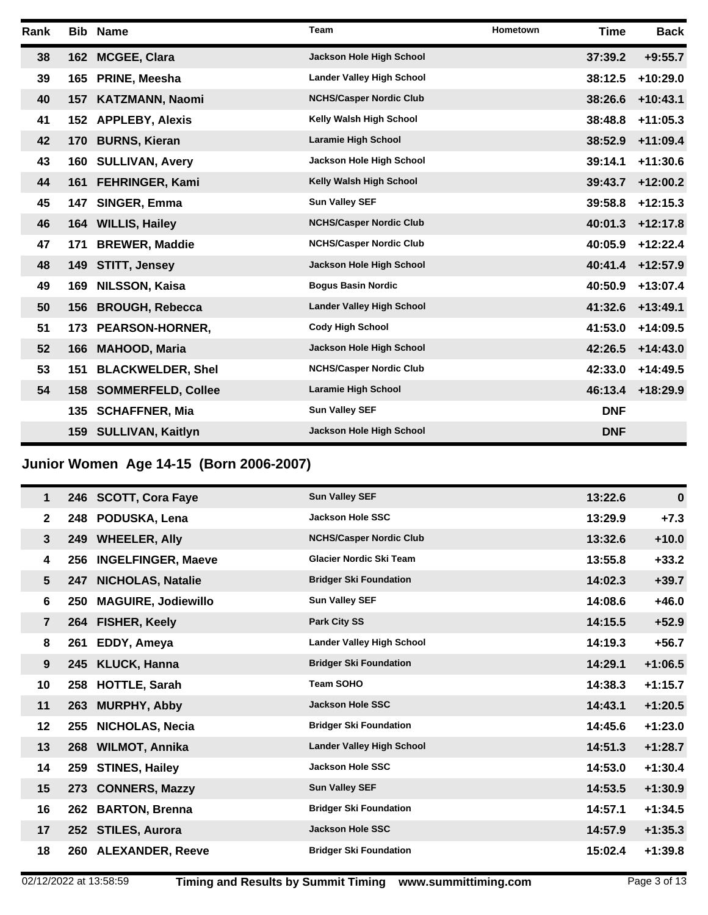| Rank |     | <b>Bib Name</b>           | <b>Team</b>                      | Hometown | Time       | <b>Back</b> |
|------|-----|---------------------------|----------------------------------|----------|------------|-------------|
| 38   |     | 162 MCGEE, Clara          | Jackson Hole High School         |          | 37:39.2    | $+9:55.7$   |
| 39   | 165 | PRINE, Meesha             | <b>Lander Valley High School</b> |          | 38:12.5    | $+10:29.0$  |
| 40   |     | 157 KATZMANN, Naomi       | <b>NCHS/Casper Nordic Club</b>   |          | 38:26.6    | $+10:43.1$  |
| 41   |     | 152 APPLEBY, Alexis       | Kelly Walsh High School          |          | 38:48.8    | $+11:05.3$  |
| 42   | 170 | <b>BURNS, Kieran</b>      | <b>Laramie High School</b>       |          | 38:52.9    | $+11:09.4$  |
| 43   | 160 | <b>SULLIVAN, Avery</b>    | Jackson Hole High School         |          | 39:14.1    | $+11:30.6$  |
| 44   |     | 161 FEHRINGER, Kami       | Kelly Walsh High School          |          | 39:43.7    | $+12:00.2$  |
| 45   | 147 | SINGER, Emma              | <b>Sun Valley SEF</b>            |          | 39:58.8    | $+12:15.3$  |
| 46   |     | 164 WILLIS, Hailey        | <b>NCHS/Casper Nordic Club</b>   |          | 40:01.3    | $+12:17.8$  |
| 47   | 171 | <b>BREWER, Maddie</b>     | <b>NCHS/Casper Nordic Club</b>   |          | 40:05.9    | $+12:22.4$  |
| 48   | 149 | STITT, Jensey             | Jackson Hole High School         |          | 40:41.4    | $+12:57.9$  |
| 49   | 169 | <b>NILSSON, Kaisa</b>     | <b>Bogus Basin Nordic</b>        |          | 40:50.9    | $+13:07.4$  |
| 50   | 156 | <b>BROUGH, Rebecca</b>    | <b>Lander Valley High School</b> |          | 41:32.6    | $+13:49.1$  |
| 51   | 173 | PEARSON-HORNER,           | <b>Cody High School</b>          |          | 41:53.0    | $+14:09.5$  |
| 52   | 166 | <b>MAHOOD, Maria</b>      | Jackson Hole High School         |          | 42:26.5    | $+14:43.0$  |
| 53   | 151 | <b>BLACKWELDER, Shel</b>  | <b>NCHS/Casper Nordic Club</b>   |          | 42:33.0    | $+14:49.5$  |
| 54   | 158 | <b>SOMMERFELD, Collee</b> | <b>Laramie High School</b>       |          | 46:13.4    | $+18:29.9$  |
|      | 135 | <b>SCHAFFNER, Mia</b>     | <b>Sun Valley SEF</b>            |          | <b>DNF</b> |             |
|      |     | 159 SULLIVAN, Kaitlyn     | Jackson Hole High School         |          | <b>DNF</b> |             |

**Junior Women Age 14-15 (Born 2006-2007)**

| 1              |     | 246 SCOTT, Cora Faye       | <b>Sun Valley SEF</b>            | 13:22.6 | $\bf{0}$  |
|----------------|-----|----------------------------|----------------------------------|---------|-----------|
| $\mathbf{2}$   |     | 248 PODUSKA, Lena          | <b>Jackson Hole SSC</b>          | 13:29.9 | $+7.3$    |
| 3              |     | 249 WHEELER, Ally          | <b>NCHS/Casper Nordic Club</b>   | 13:32.6 | $+10.0$   |
| 4              | 256 | <b>INGELFINGER, Maeve</b>  | <b>Glacier Nordic Ski Team</b>   | 13:55.8 | $+33.2$   |
| 5              | 247 | <b>NICHOLAS, Natalie</b>   | <b>Bridger Ski Foundation</b>    | 14:02.3 | $+39.7$   |
| 6              | 250 | <b>MAGUIRE, Jodiewillo</b> | <b>Sun Valley SEF</b>            | 14:08.6 | $+46.0$   |
| $\overline{7}$ |     | 264 FISHER, Keely          | <b>Park City SS</b>              | 14:15.5 | $+52.9$   |
| 8              | 261 | EDDY, Ameya                | <b>Lander Valley High School</b> | 14:19.3 | $+56.7$   |
| 9              |     | 245 KLUCK, Hanna           | <b>Bridger Ski Foundation</b>    | 14:29.1 | $+1:06.5$ |
| 10             |     | 258 HOTTLE, Sarah          | <b>Team SOHO</b>                 | 14:38.3 | $+1:15.7$ |
| 11             |     | 263 MURPHY, Abby           | <b>Jackson Hole SSC</b>          | 14:43.1 | $+1:20.5$ |
| 12             | 255 | <b>NICHOLAS, Necia</b>     | <b>Bridger Ski Foundation</b>    | 14:45.6 | $+1:23.0$ |
| 13             |     | 268 WILMOT, Annika         | <b>Lander Valley High School</b> | 14:51.3 | $+1:28.7$ |
| 14             |     | 259 STINES, Hailey         | <b>Jackson Hole SSC</b>          | 14:53.0 | $+1:30.4$ |
| 15             |     | 273 CONNERS, Mazzy         | <b>Sun Valley SEF</b>            | 14:53.5 | $+1:30.9$ |
| 16             | 262 | <b>BARTON, Brenna</b>      | <b>Bridger Ski Foundation</b>    | 14:57.1 | $+1:34.5$ |
| 17             |     | 252 STILES, Aurora         | <b>Jackson Hole SSC</b>          | 14:57.9 | $+1:35.3$ |
| 18             |     | 260 ALEXANDER, Reeve       | <b>Bridger Ski Foundation</b>    | 15:02.4 | $+1:39.8$ |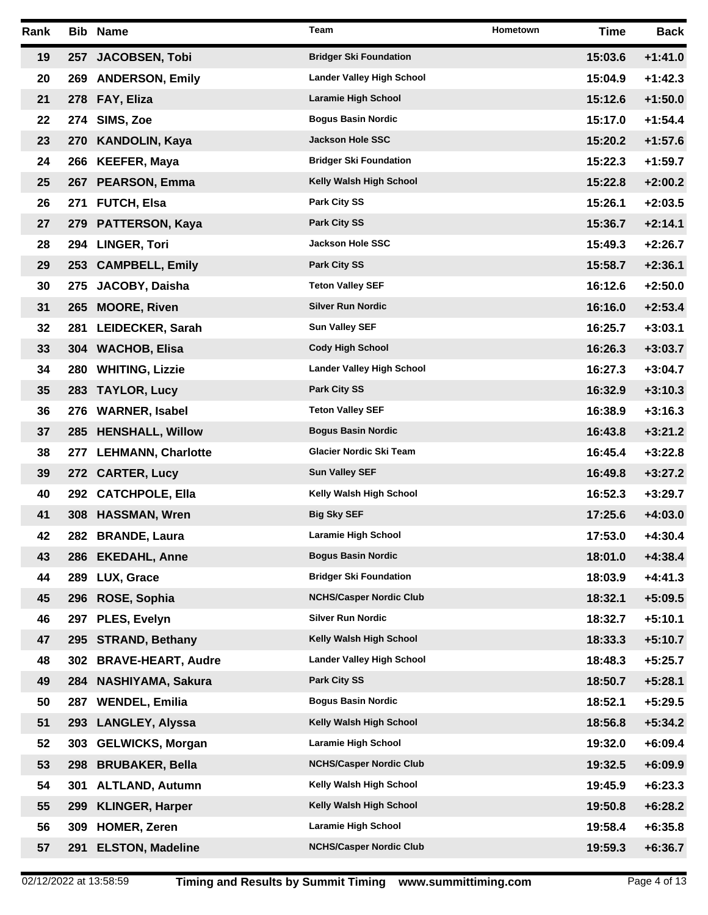| Rank |            | <b>Bib Name</b>           | Team                             | <b>Hometown</b> | <b>Time</b> | Back      |
|------|------------|---------------------------|----------------------------------|-----------------|-------------|-----------|
| 19   | 257        | <b>JACOBSEN, Tobi</b>     | <b>Bridger Ski Foundation</b>    |                 | 15:03.6     | $+1:41.0$ |
| 20   |            | 269 ANDERSON, Emily       | <b>Lander Valley High School</b> |                 | 15:04.9     | $+1:42.3$ |
| 21   |            | 278 FAY, Eliza            | Laramie High School              |                 | 15:12.6     | $+1:50.0$ |
| 22   |            | 274 SIMS, Zoe             | <b>Bogus Basin Nordic</b>        |                 | 15:17.0     | $+1:54.4$ |
| 23   |            | 270 KANDOLIN, Kaya        | <b>Jackson Hole SSC</b>          |                 | 15:20.2     | $+1:57.6$ |
| 24   |            | 266 KEEFER, Maya          | <b>Bridger Ski Foundation</b>    |                 | 15:22.3     | $+1:59.7$ |
| 25   |            | 267 PEARSON, Emma         | Kelly Walsh High School          |                 | 15:22.8     | $+2:00.2$ |
| 26   |            | 271 FUTCH, Elsa           | <b>Park City SS</b>              |                 | 15:26.1     | $+2:03.5$ |
| 27   |            | 279 PATTERSON, Kaya       | <b>Park City SS</b>              |                 | 15:36.7     | $+2:14.1$ |
| 28   |            | 294 LINGER, Tori          | <b>Jackson Hole SSC</b>          |                 | 15:49.3     | $+2:26.7$ |
| 29   |            | 253 CAMPBELL, Emily       | <b>Park City SS</b>              |                 | 15:58.7     | $+2:36.1$ |
| 30   | 275        | JACOBY, Daisha            | <b>Teton Valley SEF</b>          |                 | 16:12.6     | $+2:50.0$ |
| 31   |            | 265 MOORE, Riven          | <b>Silver Run Nordic</b>         |                 | 16:16.0     | $+2:53.4$ |
| 32   |            | 281 LEIDECKER, Sarah      | <b>Sun Valley SEF</b>            |                 | 16:25.7     | $+3:03.1$ |
| 33   |            | 304 WACHOB, Elisa         | <b>Cody High School</b>          |                 | 16:26.3     | $+3:03.7$ |
| 34   | <b>280</b> | <b>WHITING, Lizzie</b>    | <b>Lander Valley High School</b> |                 | 16:27.3     | $+3:04.7$ |
| 35   |            | 283 TAYLOR, Lucy          | <b>Park City SS</b>              |                 | 16:32.9     | $+3:10.3$ |
| 36   |            | 276 WARNER, Isabel        | <b>Teton Valley SEF</b>          |                 | 16:38.9     | $+3:16.3$ |
| 37   |            | 285 HENSHALL, Willow      | <b>Bogus Basin Nordic</b>        |                 | 16:43.8     | $+3:21.2$ |
| 38   |            | 277 LEHMANN, Charlotte    | Glacier Nordic Ski Team          |                 | 16:45.4     | $+3:22.8$ |
| 39   |            | 272 CARTER, Lucy          | <b>Sun Valley SEF</b>            |                 | 16:49.8     | $+3:27.2$ |
| 40   |            | 292 CATCHPOLE, Ella       | Kelly Walsh High School          |                 | 16:52.3     | $+3:29.7$ |
| 41   |            | 308 HASSMAN, Wren         | <b>Big Sky SEF</b>               |                 | 17:25.6     | $+4:03.0$ |
| 42   |            | 282 BRANDE, Laura         | <b>Laramie High School</b>       |                 | 17:53.0     | $+4:30.4$ |
| 43   |            | 286 EKEDAHL, Anne         | <b>Bogus Basin Nordic</b>        |                 | 18:01.0     | $+4:38.4$ |
| 44   | 289        | <b>LUX, Grace</b>         | <b>Bridger Ski Foundation</b>    |                 | 18:03.9     | $+4:41.3$ |
| 45   | 296        | ROSE, Sophia              | <b>NCHS/Casper Nordic Club</b>   |                 | 18:32.1     | $+5:09.5$ |
| 46   | 297        | <b>PLES, Evelyn</b>       | <b>Silver Run Nordic</b>         |                 | 18:32.7     | $+5:10.1$ |
| 47   | 295        | <b>STRAND, Bethany</b>    | Kelly Walsh High School          |                 | 18:33.3     | $+5:10.7$ |
| 48   | 302        | <b>BRAVE-HEART, Audre</b> | <b>Lander Valley High School</b> |                 | 18:48.3     | $+5:25.7$ |
| 49   |            | 284 NASHIYAMA, Sakura     | <b>Park City SS</b>              |                 | 18:50.7     | $+5:28.1$ |
| 50   | 287        | <b>WENDEL, Emilia</b>     | <b>Bogus Basin Nordic</b>        |                 | 18:52.1     | $+5:29.5$ |
| 51   | 293        | <b>LANGLEY, Alyssa</b>    | Kelly Walsh High School          |                 | 18:56.8     | $+5:34.2$ |
| 52   | 303        | <b>GELWICKS, Morgan</b>   | Laramie High School              |                 | 19:32.0     | $+6:09.4$ |
| 53   | 298        | <b>BRUBAKER, Bella</b>    | <b>NCHS/Casper Nordic Club</b>   |                 | 19:32.5     | $+6:09.9$ |
| 54   | 301        | <b>ALTLAND, Autumn</b>    | Kelly Walsh High School          |                 | 19:45.9     | $+6:23.3$ |
| 55   | 299        | <b>KLINGER, Harper</b>    | Kelly Walsh High School          |                 | 19:50.8     | $+6:28.2$ |
| 56   | 309        | <b>HOMER, Zeren</b>       | Laramie High School              |                 | 19:58.4     | $+6:35.8$ |
| 57   | 291        | <b>ELSTON, Madeline</b>   | <b>NCHS/Casper Nordic Club</b>   |                 | 19:59.3     | $+6:36.7$ |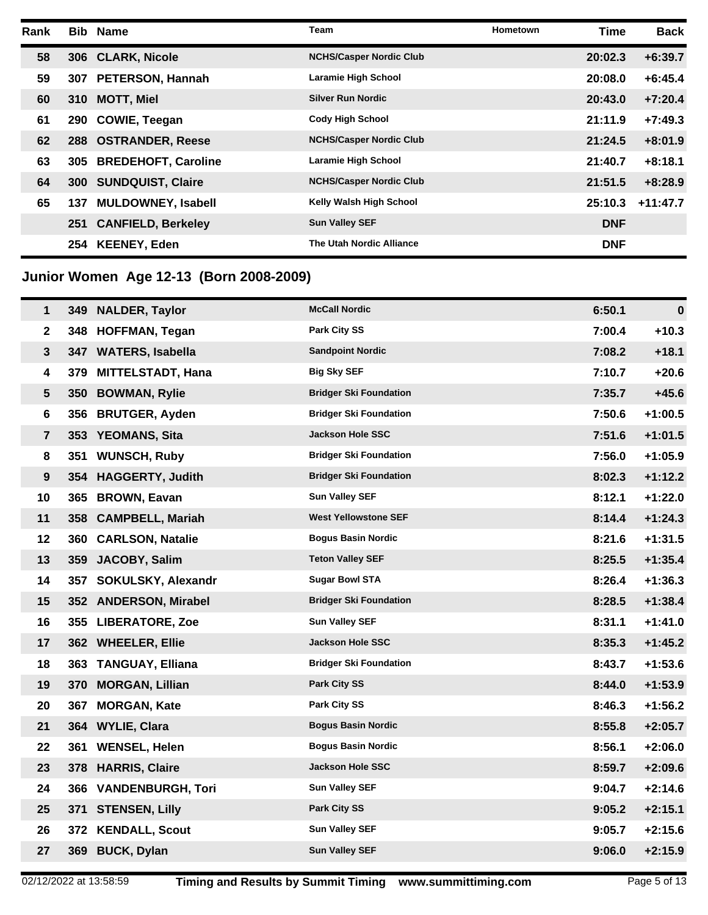| Rank |            | <b>Bib Name</b>            | Team                           | <b>Hometown</b> | <b>Time</b> | <b>Back</b> |
|------|------------|----------------------------|--------------------------------|-----------------|-------------|-------------|
| 58   |            | 306 CLARK, Nicole          | <b>NCHS/Casper Nordic Club</b> |                 | 20:02.3     | $+6:39.7$   |
| 59   | 307        | <b>PETERSON, Hannah</b>    | Laramie High School            |                 | 20:08.0     | $+6:45.4$   |
| 60   | 310        | <b>MOTT, Miel</b>          | <b>Silver Run Nordic</b>       |                 | 20:43.0     | $+7:20.4$   |
| 61   | 290        | <b>COWIE, Teegan</b>       | <b>Cody High School</b>        |                 | 21:11.9     | $+7:49.3$   |
| 62   |            | 288 OSTRANDER, Reese       | <b>NCHS/Casper Nordic Club</b> |                 | 21:24.5     | $+8:01.9$   |
| 63   | 305        | <b>BREDEHOFT, Caroline</b> | Laramie High School            |                 | 21:40.7     | $+8:18.1$   |
| 64   | <b>300</b> | <b>SUNDQUIST, Claire</b>   | <b>NCHS/Casper Nordic Club</b> |                 | 21:51.5     | $+8:28.9$   |
| 65   | 137        | <b>MULDOWNEY, Isabell</b>  | Kelly Walsh High School        |                 | 25:10.3     | $+11:47.7$  |
|      | 251        | <b>CANFIELD, Berkeley</b>  | <b>Sun Valley SEF</b>          |                 | <b>DNF</b>  |             |
|      | 254        | <b>KEENEY, Eden</b>        | The Utah Nordic Alliance       |                 | <b>DNF</b>  |             |

## **Junior Women Age 12-13 (Born 2008-2009)**

| $\mathbf{1}$   |     | 349 NALDER, Taylor     | <b>McCall Nordic</b>          | 6:50.1 | $\mathbf 0$ |
|----------------|-----|------------------------|-------------------------------|--------|-------------|
| $\mathbf{2}$   |     | 348 HOFFMAN, Tegan     | Park City SS                  | 7:00.4 | $+10.3$     |
| 3              |     | 347 WATERS, Isabella   | <b>Sandpoint Nordic</b>       | 7:08.2 | $+18.1$     |
| 4              |     | 379 MITTELSTADT, Hana  | <b>Big Sky SEF</b>            | 7:10.7 | $+20.6$     |
| 5              |     | 350 BOWMAN, Rylie      | <b>Bridger Ski Foundation</b> | 7:35.7 | $+45.6$     |
| 6              |     | 356 BRUTGER, Ayden     | <b>Bridger Ski Foundation</b> | 7:50.6 | $+1:00.5$   |
| $\overline{7}$ |     | 353 YEOMANS, Sita      | <b>Jackson Hole SSC</b>       | 7:51.6 | $+1:01.5$   |
| 8              |     | 351 WUNSCH, Ruby       | <b>Bridger Ski Foundation</b> | 7:56.0 | $+1:05.9$   |
| 9              |     | 354 HAGGERTY, Judith   | <b>Bridger Ski Foundation</b> | 8:02.3 | $+1:12.2$   |
| 10             |     | 365 BROWN, Eavan       | <b>Sun Valley SEF</b>         | 8:12.1 | $+1:22.0$   |
| 11             |     | 358 CAMPBELL, Mariah   | <b>West Yellowstone SEF</b>   | 8:14.4 | $+1:24.3$   |
| 12             |     | 360 CARLSON, Natalie   | <b>Bogus Basin Nordic</b>     | 8:21.6 | $+1:31.5$   |
| 13             | 359 | JACOBY, Salim          | <b>Teton Valley SEF</b>       | 8:25.5 | $+1:35.4$   |
| 14             |     | 357 SOKULSKY, Alexandr | <b>Sugar Bowl STA</b>         | 8:26.4 | $+1:36.3$   |
| 15             |     | 352 ANDERSON, Mirabel  | <b>Bridger Ski Foundation</b> | 8:28.5 | $+1:38.4$   |
| 16             |     | 355 LIBERATORE, Zoe    | <b>Sun Valley SEF</b>         | 8:31.1 | $+1:41.0$   |
| 17             |     | 362 WHEELER, Ellie     | <b>Jackson Hole SSC</b>       | 8:35.3 | $+1:45.2$   |
| 18             |     | 363 TANGUAY, Elliana   | <b>Bridger Ski Foundation</b> | 8:43.7 | $+1:53.6$   |
| 19             |     | 370 MORGAN, Lillian    | <b>Park City SS</b>           | 8:44.0 | $+1:53.9$   |
| 20             |     | 367 MORGAN, Kate       | Park City SS                  | 8:46.3 | $+1:56.2$   |
| 21             |     | 364 WYLIE, Clara       | <b>Bogus Basin Nordic</b>     | 8:55.8 | $+2:05.7$   |
| 22             |     | 361 WENSEL, Helen      | <b>Bogus Basin Nordic</b>     | 8:56.1 | $+2:06.0$   |
| 23             |     | 378 HARRIS, Claire     | <b>Jackson Hole SSC</b>       | 8:59.7 | $+2:09.6$   |
| 24             |     | 366 VANDENBURGH, Tori  | <b>Sun Valley SEF</b>         | 9:04.7 | $+2:14.6$   |
| 25             |     | 371 STENSEN, Lilly     | Park City SS                  | 9:05.2 | $+2:15.1$   |
| 26             |     | 372 KENDALL, Scout     | <b>Sun Valley SEF</b>         | 9:05.7 | $+2:15.6$   |
| 27             |     | 369 BUCK, Dylan        | <b>Sun Valley SEF</b>         | 9:06.0 | $+2:15.9$   |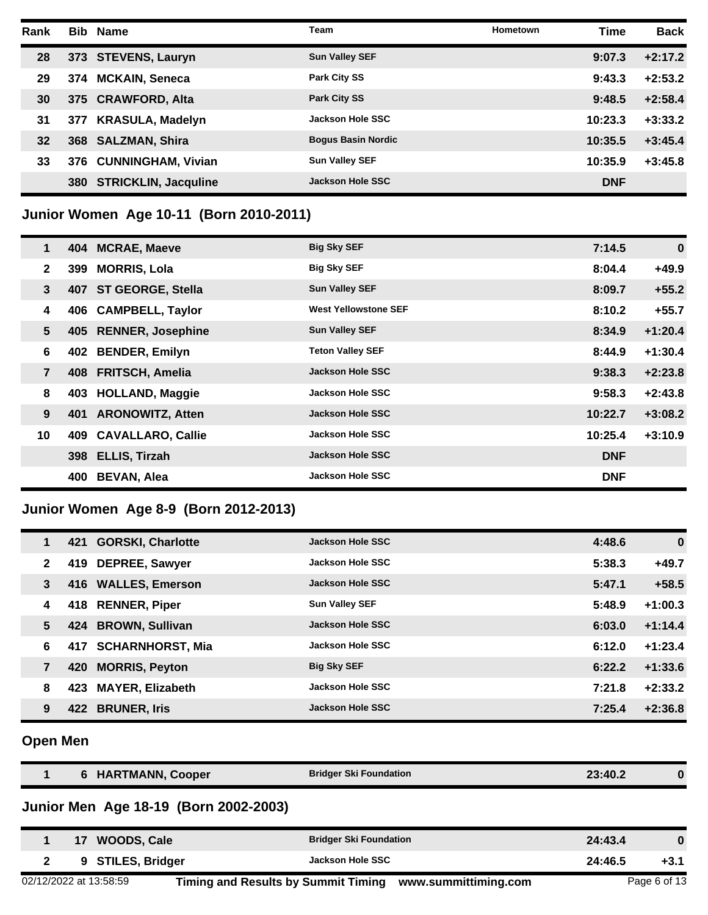| Rank |     | <b>Bib Name</b>             | Team                      | Hometown | <b>Time</b> | <b>Back</b> |
|------|-----|-----------------------------|---------------------------|----------|-------------|-------------|
| 28   |     | 373 STEVENS, Lauryn         | <b>Sun Valley SEF</b>     |          | 9:07.3      | $+2:17.2$   |
| 29   | 374 | <b>MCKAIN, Seneca</b>       | <b>Park City SS</b>       |          | 9:43.3      | $+2:53.2$   |
| 30   |     | 375 CRAWFORD, Alta          | <b>Park City SS</b>       |          | 9:48.5      | $+2:58.4$   |
| 31   | 377 | <b>KRASULA, Madelyn</b>     | <b>Jackson Hole SSC</b>   |          | 10:23.3     | $+3:33.2$   |
| 32   | 368 | <b>SALZMAN, Shira</b>       | <b>Bogus Basin Nordic</b> |          | 10:35.5     | $+3:45.4$   |
| 33   |     | 376 CUNNINGHAM, Vivian      | <b>Sun Valley SEF</b>     |          | 10:35.9     | $+3:45.8$   |
|      | 380 | <b>STRICKLIN, Jacquline</b> | Jackson Hole SSC          |          | <b>DNF</b>  |             |

## **Junior Women Age 10-11 (Born 2010-2011)**

| $\mathbf 1$    |     | 404 MCRAE, Maeve         | <b>Big Sky SEF</b>          | 7:14.5     | $\bf{0}$  |
|----------------|-----|--------------------------|-----------------------------|------------|-----------|
| $\mathbf{2}$   | 399 | <b>MORRIS, Lola</b>      | <b>Big Sky SEF</b>          | 8:04.4     | $+49.9$   |
| $\mathbf{3}$   | 407 | <b>ST GEORGE, Stella</b> | <b>Sun Valley SEF</b>       | 8:09.7     | $+55.2$   |
| 4              | 406 | <b>CAMPBELL, Taylor</b>  | <b>West Yellowstone SEF</b> | 8:10.2     | $+55.7$   |
| 5              | 405 | <b>RENNER, Josephine</b> | <b>Sun Valley SEF</b>       | 8:34.9     | $+1:20.4$ |
| 6              | 402 | <b>BENDER, Emilyn</b>    | <b>Teton Valley SEF</b>     | 8:44.9     | $+1:30.4$ |
| $\overline{7}$ |     | 408 FRITSCH, Amelia      | <b>Jackson Hole SSC</b>     | 9:38.3     | $+2:23.8$ |
| 8              |     | 403 HOLLAND, Maggie      | <b>Jackson Hole SSC</b>     | 9:58.3     | $+2:43.8$ |
| 9              | 401 | <b>ARONOWITZ, Atten</b>  | <b>Jackson Hole SSC</b>     | 10:22.7    | $+3:08.2$ |
| 10             | 409 | <b>CAVALLARO, Callie</b> | <b>Jackson Hole SSC</b>     | 10:25.4    | $+3:10.9$ |
|                |     | 398 ELLIS, Tirzah        | <b>Jackson Hole SSC</b>     | <b>DNF</b> |           |
|                | 400 | <b>BEVAN, Alea</b>       | <b>Jackson Hole SSC</b>     | <b>DNF</b> |           |

## **Junior Women Age 8-9 (Born 2012-2013)**

| 1            | 421 | <b>GORSKI, Charlotte</b> | <b>Jackson Hole SSC</b> | 4:48.6 | $\bf{0}$  |
|--------------|-----|--------------------------|-------------------------|--------|-----------|
| $\mathbf{2}$ | 419 | <b>DEPREE, Sawyer</b>    | <b>Jackson Hole SSC</b> | 5:38.3 | $+49.7$   |
| 3            |     | 416 WALLES, Emerson      | <b>Jackson Hole SSC</b> | 5:47.1 | $+58.5$   |
| 4            |     | 418 RENNER, Piper        | <b>Sun Valley SEF</b>   | 5:48.9 | $+1:00.3$ |
| 5            |     | 424 BROWN, Sullivan      | <b>Jackson Hole SSC</b> | 6:03.0 | $+1:14.4$ |
| 6            |     | 417 SCHARNHORST, Mia     | <b>Jackson Hole SSC</b> | 6:12.0 | $+1:23.4$ |
| 7            | 420 | <b>MORRIS, Peyton</b>    | <b>Big Sky SEF</b>      | 6:22.2 | $+1:33.6$ |
| 8            | 423 | <b>MAYER, Elizabeth</b>  | <b>Jackson Hole SSC</b> | 7:21.8 | $+2:33.2$ |
| 9            | 422 | <b>BRUNER, Iris</b>      | <b>Jackson Hole SSC</b> | 7:25.4 | $+2:36.8$ |

## **Open Men**

| 6 HARTMANN, Cooper                    | <b>Bridger Ski Foundation</b> | 23:40.2 | 0        |
|---------------------------------------|-------------------------------|---------|----------|
| Junior Men Age 18-19 (Born 2002-2003) |                               |         |          |
| WOODS, Cale                           | <b>Bridger Ski Foundation</b> | 24:43.4 | $\bf{0}$ |
| <b>STILES, Bridger</b><br>9           | Jackson Hole SSC              | 24:46.5 | +3.1     |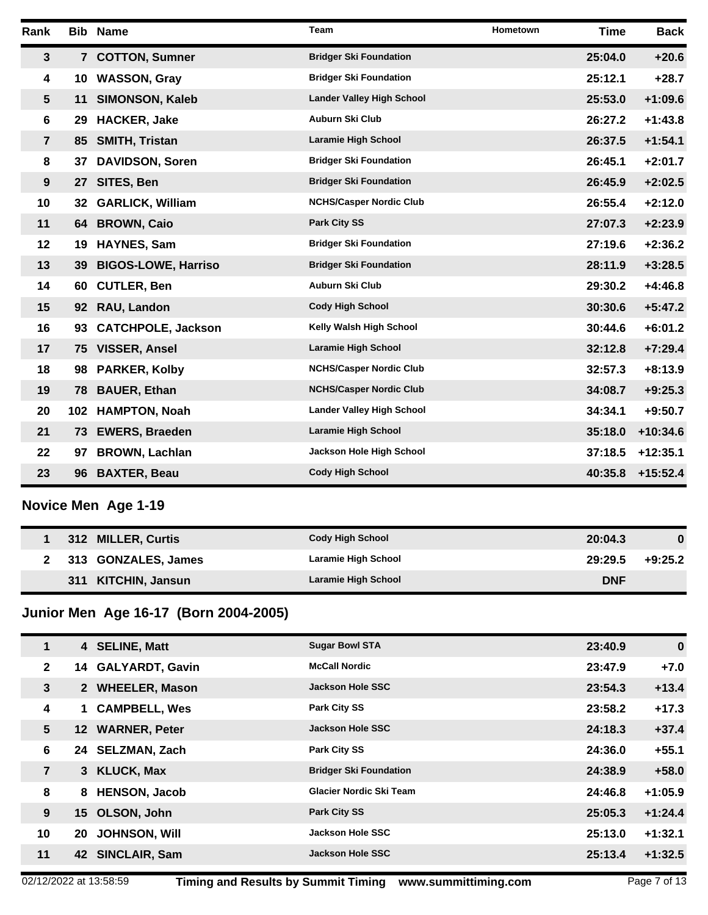| Rank                    |                 | <b>Bib Name</b>            | Team                             | Hometown | <b>Time</b> | <b>Back</b> |
|-------------------------|-----------------|----------------------------|----------------------------------|----------|-------------|-------------|
| $\mathbf{3}$            |                 | 7 COTTON, Sumner           | <b>Bridger Ski Foundation</b>    |          | 25:04.0     | $+20.6$     |
| 4                       | 10              | <b>WASSON, Gray</b>        | <b>Bridger Ski Foundation</b>    |          | 25:12.1     | $+28.7$     |
| $5\phantom{.0}$         | 11              | <b>SIMONSON, Kaleb</b>     | <b>Lander Valley High School</b> |          | 25:53.0     | $+1:09.6$   |
| 6                       | 29              | <b>HACKER, Jake</b>        | <b>Auburn Ski Club</b>           |          | 26:27.2     | $+1:43.8$   |
| $\overline{7}$          | 85 -            | <b>SMITH, Tristan</b>      | <b>Laramie High School</b>       |          | 26:37.5     | $+1:54.1$   |
| 8                       | 37              | <b>DAVIDSON, Soren</b>     | <b>Bridger Ski Foundation</b>    |          | 26:45.1     | $+2:01.7$   |
| 9                       | 27              | SITES, Ben                 | <b>Bridger Ski Foundation</b>    |          | 26:45.9     | $+2:02.5$   |
| 10                      | 32              | <b>GARLICK, William</b>    | <b>NCHS/Casper Nordic Club</b>   |          | 26:55.4     | $+2:12.0$   |
| 11                      | 64              | <b>BROWN, Caio</b>         | <b>Park City SS</b>              |          | 27:07.3     | $+2:23.9$   |
| 12                      | 19              | <b>HAYNES, Sam</b>         | <b>Bridger Ski Foundation</b>    |          | 27:19.6     | $+2:36.2$   |
| 13                      | 39              | <b>BIGOS-LOWE, Harriso</b> | <b>Bridger Ski Foundation</b>    |          | 28:11.9     | $+3:28.5$   |
| 14                      | 60              | <b>CUTLER, Ben</b>         | <b>Auburn Ski Club</b>           |          | 29:30.2     | $+4:46.8$   |
| 15                      | 92 <sub>2</sub> | RAU, Landon                | <b>Cody High School</b>          |          | 30:30.6     | $+5:47.2$   |
| 16                      | 93              | <b>CATCHPOLE, Jackson</b>  | Kelly Walsh High School          |          | 30:44.6     | $+6:01.2$   |
| 17                      |                 | 75 VISSER, Ansel           | Laramie High School              |          | 32:12.8     | $+7:29.4$   |
| 18                      | 98              | <b>PARKER, Kolby</b>       | <b>NCHS/Casper Nordic Club</b>   |          | 32:57.3     | $+8:13.9$   |
| 19                      | 78              | <b>BAUER, Ethan</b>        | <b>NCHS/Casper Nordic Club</b>   |          | 34:08.7     | $+9:25.3$   |
| 20                      |                 | 102 HAMPTON, Noah          | <b>Lander Valley High School</b> |          | 34:34.1     | $+9:50.7$   |
| 21                      |                 | 73 EWERS, Braeden          | Laramie High School              |          | 35:18.0     | $+10:34.6$  |
| 22                      | 97              | <b>BROWN, Lachlan</b>      | Jackson Hole High School         |          | 37:18.5     | $+12:35.1$  |
| 23                      | 96 -            | <b>BAXTER, Beau</b>        | <b>Cody High School</b>          |          | 40:35.8     | $+15:52.4$  |
|                         |                 | Novice Men Age 1-19        |                                  |          |             |             |
| 1                       |                 | 312 MILLER, Curtis         | <b>Cody High School</b>          |          | 20:04.3     | $\bf{0}$    |
| $\overline{\mathbf{2}}$ |                 | 313 GONZALES, James        | Laramie High School              |          | 29:29.5     | $+9:25.2$   |

#### **Junior Men Age 16-17 (Born 2004-2005)**

| 1                    | 4 SELINE, Matt            | <b>Sugar Bowl STA</b>         | 23:40.9 | $\mathbf 0$ |
|----------------------|---------------------------|-------------------------------|---------|-------------|
| $\mathbf{2}$         | 14 GALYARDT, Gavin        | <b>McCall Nordic</b>          | 23:47.9 | $+7.0$      |
| 3                    | 2 WHEELER, Mason          | Jackson Hole SSC              | 23:54.3 | $+13.4$     |
| 4                    | <b>CAMPBELL, Wes</b>      | <b>Park City SS</b>           | 23:58.2 | $+17.3$     |
| 5<br>12 <sup>1</sup> | <b>WARNER, Peter</b>      | Jackson Hole SSC              | 24:18.3 | $+37.4$     |
| 6                    | 24 SELZMAN, Zach          | <b>Park City SS</b>           | 24:36.0 | $+55.1$     |
| $\overline{7}$       | 3 KLUCK, Max              | <b>Bridger Ski Foundation</b> | 24:38.9 | $+58.0$     |
| 8                    | <b>HENSON, Jacob</b><br>8 | Glacier Nordic Ski Team       | 24:46.8 | $+1:05.9$   |
| 9                    | 15 OLSON, John            | <b>Park City SS</b>           | 25:05.3 | $+1:24.4$   |
| 10<br>20             | <b>JOHNSON, Will</b>      | <b>Jackson Hole SSC</b>       | 25:13.0 | $+1:32.1$   |
| 11                   | 42 SINCLAIR, Sam          | Jackson Hole SSC              | 25:13.4 | $+1:32.5$   |
|                      |                           |                               |         |             |

**KITCHIN, Jansun Laramie High School DNF**

02/12/2022 at 13:58:59 **Timing and Results by Summit Timing www.summittiming.com** Page 7 of 13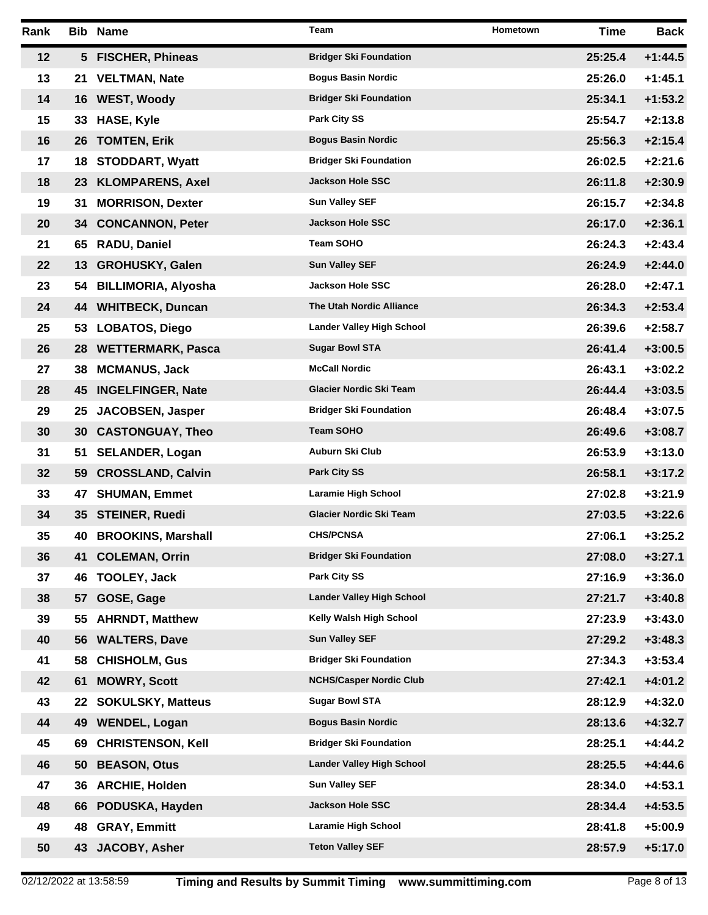| Rank |     | <b>Bib Name</b>           | Team                             | Hometown | Time    | Back      |
|------|-----|---------------------------|----------------------------------|----------|---------|-----------|
| 12   |     | 5 FISCHER, Phineas        | <b>Bridger Ski Foundation</b>    |          | 25:25.4 | $+1:44.5$ |
| 13   |     | 21 VELTMAN, Nate          | <b>Bogus Basin Nordic</b>        |          | 25:26.0 | $+1:45.1$ |
| 14   |     | 16 WEST, Woody            | <b>Bridger Ski Foundation</b>    |          | 25:34.1 | $+1:53.2$ |
| 15   |     | 33 HASE, Kyle             | Park City SS                     |          | 25:54.7 | $+2:13.8$ |
| 16   |     | 26 TOMTEN, Erik           | <b>Bogus Basin Nordic</b>        |          | 25:56.3 | $+2:15.4$ |
| 17   | 18. | <b>STODDART, Wyatt</b>    | <b>Bridger Ski Foundation</b>    |          | 26:02.5 | $+2:21.6$ |
| 18   |     | 23 KLOMPARENS, Axel       | <b>Jackson Hole SSC</b>          |          | 26:11.8 | $+2:30.9$ |
| 19   | 31  | <b>MORRISON, Dexter</b>   | <b>Sun Valley SEF</b>            |          | 26:15.7 | $+2:34.8$ |
| 20   |     | 34 CONCANNON, Peter       | <b>Jackson Hole SSC</b>          |          | 26:17.0 | $+2:36.1$ |
| 21   | 65  | <b>RADU, Daniel</b>       | <b>Team SOHO</b>                 |          | 26:24.3 | $+2:43.4$ |
| 22   |     | 13 GROHUSKY, Galen        | <b>Sun Valley SEF</b>            |          | 26:24.9 | $+2:44.0$ |
| 23   |     | 54 BILLIMORIA, Alyosha    | <b>Jackson Hole SSC</b>          |          | 26:28.0 | $+2:47.1$ |
| 24   |     | 44 WHITBECK, Duncan       | <b>The Utah Nordic Alliance</b>  |          | 26:34.3 | $+2:53.4$ |
| 25   |     | 53 LOBATOS, Diego         | <b>Lander Valley High School</b> |          | 26:39.6 | $+2:58.7$ |
| 26   |     | 28 WETTERMARK, Pasca      | <b>Sugar Bowl STA</b>            |          | 26:41.4 | $+3:00.5$ |
| 27   | 38. | <b>MCMANUS, Jack</b>      | <b>McCall Nordic</b>             |          | 26:43.1 | $+3:02.2$ |
| 28   |     | 45 INGELFINGER, Nate      | <b>Glacier Nordic Ski Team</b>   |          | 26:44.4 | $+3:03.5$ |
| 29   | 25  | <b>JACOBSEN, Jasper</b>   | <b>Bridger Ski Foundation</b>    |          | 26:48.4 | $+3:07.5$ |
| 30   |     | 30 CASTONGUAY, Theo       | <b>Team SOHO</b>                 |          | 26:49.6 | $+3:08.7$ |
| 31   | 51  | <b>SELANDER, Logan</b>    | <b>Auburn Ski Club</b>           |          | 26:53.9 | $+3:13.0$ |
| 32   |     | 59 CROSSLAND, Calvin      | <b>Park City SS</b>              |          | 26:58.1 | $+3:17.2$ |
| 33   | 47  | <b>SHUMAN, Emmet</b>      | Laramie High School              |          | 27:02.8 | $+3:21.9$ |
| 34   |     | 35 STEINER, Ruedi         | <b>Glacier Nordic Ski Team</b>   |          | 27:03.5 | $+3:22.6$ |
| 35   | 40  | <b>BROOKINS, Marshall</b> | <b>CHS/PCNSA</b>                 |          | 27:06.1 | $+3:25.2$ |
| 36   | 41  | <b>COLEMAN, Orrin</b>     | <b>Bridger Ski Foundation</b>    |          | 27:08.0 | $+3:27.1$ |
| 37   | 46  | <b>TOOLEY, Jack</b>       | Park City SS                     |          | 27:16.9 | $+3:36.0$ |
| 38   | 57  | GOSE, Gage                | <b>Lander Valley High School</b> |          | 27:21.7 | $+3:40.8$ |
| 39   | 55  | <b>AHRNDT, Matthew</b>    | Kelly Walsh High School          |          | 27:23.9 | $+3:43.0$ |
| 40   | 56  | <b>WALTERS, Dave</b>      | <b>Sun Valley SEF</b>            |          | 27:29.2 | $+3:48.3$ |
| 41   | 58  | <b>CHISHOLM, Gus</b>      | <b>Bridger Ski Foundation</b>    |          | 27:34.3 | $+3:53.4$ |
| 42   | 61  | <b>MOWRY, Scott</b>       | <b>NCHS/Casper Nordic Club</b>   |          | 27:42.1 | $+4:01.2$ |
| 43   | 22  | <b>SOKULSKY, Matteus</b>  | <b>Sugar Bowl STA</b>            |          | 28:12.9 | $+4:32.0$ |
| 44   | 49  | <b>WENDEL, Logan</b>      | <b>Bogus Basin Nordic</b>        |          | 28:13.6 | $+4:32.7$ |
| 45   | 69  | <b>CHRISTENSON, Kell</b>  | <b>Bridger Ski Foundation</b>    |          | 28:25.1 | $+4:44.2$ |
| 46   | 50  | <b>BEASON, Otus</b>       | <b>Lander Valley High School</b> |          | 28:25.5 | $+4:44.6$ |
| 47   | 36  | <b>ARCHIE, Holden</b>     | <b>Sun Valley SEF</b>            |          | 28:34.0 | $+4:53.1$ |
| 48   | 66  | PODUSKA, Hayden           | Jackson Hole SSC                 |          | 28:34.4 | $+4:53.5$ |
| 49   | 48  | <b>GRAY, Emmitt</b>       | Laramie High School              |          | 28:41.8 | $+5:00.9$ |
| 50   | 43  | JACOBY, Asher             | <b>Teton Valley SEF</b>          |          | 28:57.9 | $+5:17.0$ |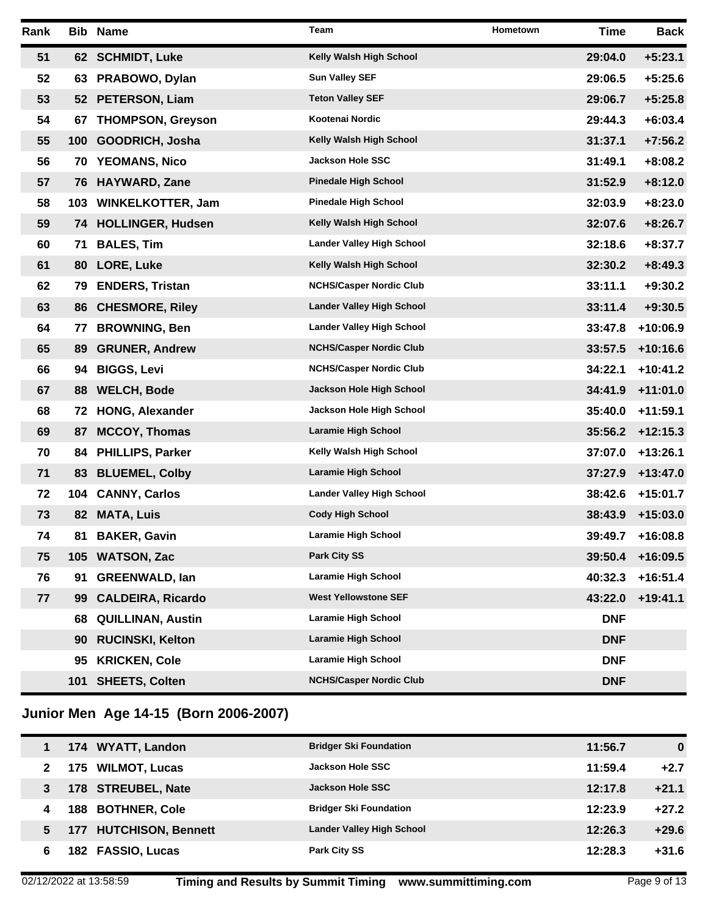| Rank |                  | <b>Bib Name</b>          | Team                             | Hometown | <b>Time</b> | Back       |
|------|------------------|--------------------------|----------------------------------|----------|-------------|------------|
| 51   |                  | 62 SCHMIDT, Luke         | Kelly Walsh High School          |          | 29:04.0     | $+5:23.1$  |
| 52   |                  | 63 PRABOWO, Dylan        | <b>Sun Valley SEF</b>            |          | 29:06.5     | $+5:25.6$  |
| 53   |                  | 52 PETERSON, Liam        | <b>Teton Valley SEF</b>          |          | 29:06.7     | $+5:25.8$  |
| 54   | 67               | <b>THOMPSON, Greyson</b> | Kootenai Nordic                  |          | 29:44.3     | $+6:03.4$  |
| 55   | 100 <sub>1</sub> | GOODRICH, Josha          | Kelly Walsh High School          |          | 31:37.1     | $+7:56.2$  |
| 56   |                  | 70 YEOMANS, Nico         | <b>Jackson Hole SSC</b>          |          | 31:49.1     | $+8:08.2$  |
| 57   |                  | 76 HAYWARD, Zane         | <b>Pinedale High School</b>      |          | 31:52.9     | $+8:12.0$  |
| 58   |                  | 103 WINKELKOTTER, Jam    | <b>Pinedale High School</b>      |          | 32:03.9     | $+8:23.0$  |
| 59   |                  | 74 HOLLINGER, Hudsen     | Kelly Walsh High School          |          | 32:07.6     | $+8:26.7$  |
| 60   | 71               | <b>BALES, Tim</b>        | <b>Lander Valley High School</b> |          | 32:18.6     | $+8:37.7$  |
| 61   | 80               | <b>LORE, Luke</b>        | Kelly Walsh High School          |          | 32:30.2     | $+8:49.3$  |
| 62   | 79               | <b>ENDERS, Tristan</b>   | <b>NCHS/Casper Nordic Club</b>   |          | 33:11.1     | $+9:30.2$  |
| 63   | 86               | <b>CHESMORE, Riley</b>   | <b>Lander Valley High School</b> |          | 33:11.4     | $+9:30.5$  |
| 64   | 77               | <b>BROWNING, Ben</b>     | <b>Lander Valley High School</b> |          | 33:47.8     | $+10:06.9$ |
| 65   | 89               | <b>GRUNER, Andrew</b>    | <b>NCHS/Casper Nordic Club</b>   |          | 33:57.5     | $+10:16.6$ |
| 66   | 94               | <b>BIGGS, Levi</b>       | <b>NCHS/Casper Nordic Club</b>   |          | 34:22.1     | $+10:41.2$ |
| 67   | 88               | <b>WELCH, Bode</b>       | Jackson Hole High School         |          | 34:41.9     | $+11:01.0$ |
| 68   | 72               | <b>HONG, Alexander</b>   | Jackson Hole High School         |          | 35:40.0     | $+11:59.1$ |
| 69   | 87               | <b>MCCOY, Thomas</b>     | <b>Laramie High School</b>       |          | 35:56.2     | $+12:15.3$ |
| 70   | 84               | <b>PHILLIPS, Parker</b>  | Kelly Walsh High School          |          | 37:07.0     | $+13:26.1$ |
| 71   | 83               | <b>BLUEMEL, Colby</b>    | <b>Laramie High School</b>       |          | 37:27.9     | $+13:47.0$ |
| 72   | 104              | <b>CANNY, Carlos</b>     | <b>Lander Valley High School</b> |          | 38:42.6     | $+15:01.7$ |
| 73   | 82               | <b>MATA, Luis</b>        | <b>Cody High School</b>          |          | 38:43.9     | $+15:03.0$ |
| 74   | 81               | <b>BAKER, Gavin</b>      | <b>Laramie High School</b>       |          | 39:49.7     | $+16:08.8$ |
| 75   |                  | 105 WATSON, Zac          | <b>Park City SS</b>              |          | 39:50.4     | $+16:09.5$ |
| 76   | 91               | <b>GREENWALD, Ian</b>    | Laramie High School              |          | 40:32.3     | $+16:51.4$ |
| 77   | 99               | <b>CALDEIRA, Ricardo</b> | <b>West Yellowstone SEF</b>      |          | 43:22.0     | $+19:41.1$ |
|      | 68               | <b>QUILLINAN, Austin</b> | Laramie High School              |          | <b>DNF</b>  |            |
|      | 90               | <b>RUCINSKI, Kelton</b>  | <b>Laramie High School</b>       |          | <b>DNF</b>  |            |
|      | 95               | <b>KRICKEN, Cole</b>     | Laramie High School              |          | <b>DNF</b>  |            |
|      | 101              | <b>SHEETS, Colten</b>    | <b>NCHS/Casper Nordic Club</b>   |          | <b>DNF</b>  |            |

# **Junior Men Age 14-15 (Born 2006-2007)**

|   | 174 WYATT, Landon      | <b>Bridger Ski Foundation</b>    | 11:56.7 | 0       |
|---|------------------------|----------------------------------|---------|---------|
| 2 | 175 WILMOT, Lucas      | Jackson Hole SSC                 | 11:59.4 | $+2.7$  |
| 3 | 178 STREUBEL, Nate     | Jackson Hole SSC                 | 12:17.8 | $+21.1$ |
| 4 | 188 BOTHNER, Cole      | <b>Bridger Ski Foundation</b>    | 12:23.9 | $+27.2$ |
| 5 | 177 HUTCHISON, Bennett | <b>Lander Valley High School</b> | 12:26.3 | $+29.6$ |
| 6 | 182 FASSIO, Lucas      | <b>Park City SS</b>              | 12:28.3 | $+31.6$ |
|   |                        |                                  |         |         |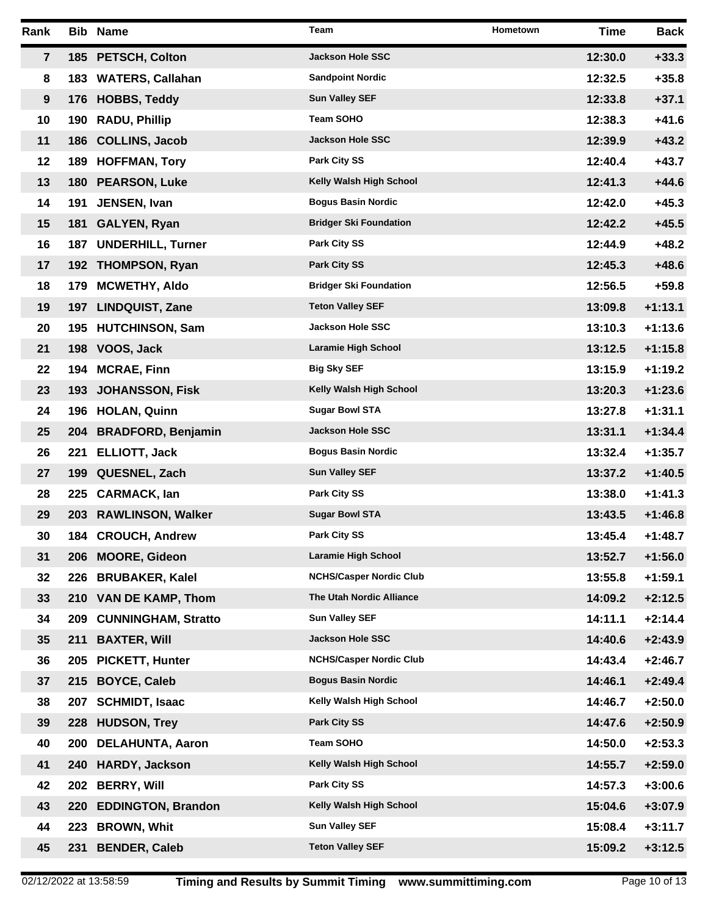| Rank    |     | <b>Bib Name</b>            | Team                           | Hometown | Time    | <b>Back</b> |
|---------|-----|----------------------------|--------------------------------|----------|---------|-------------|
| 7       |     | 185 PETSCH, Colton         | <b>Jackson Hole SSC</b>        |          | 12:30.0 | $+33.3$     |
| 8       |     | 183 WATERS, Callahan       | <b>Sandpoint Nordic</b>        |          | 12:32.5 | $+35.8$     |
| 9       |     | 176 HOBBS, Teddy           | <b>Sun Valley SEF</b>          |          | 12:33.8 | $+37.1$     |
| 10      |     | 190 RADU, Phillip          | Team SOHO                      |          | 12:38.3 | $+41.6$     |
| 11      |     | 186 COLLINS, Jacob         | <b>Jackson Hole SSC</b>        |          | 12:39.9 | $+43.2$     |
| $12 \,$ |     | 189 HOFFMAN, Tory          | <b>Park City SS</b>            |          | 12:40.4 | $+43.7$     |
| 13      |     | 180 PEARSON, Luke          | Kelly Walsh High School        |          | 12:41.3 | $+44.6$     |
| 14      | 191 | JENSEN, Ivan               | <b>Bogus Basin Nordic</b>      |          | 12:42.0 | $+45.3$     |
| 15      |     | 181 GALYEN, Ryan           | <b>Bridger Ski Foundation</b>  |          | 12:42.2 | $+45.5$     |
| 16      |     | 187 UNDERHILL, Turner      | <b>Park City SS</b>            |          | 12:44.9 | $+48.2$     |
| 17      |     | 192 THOMPSON, Ryan         | <b>Park City SS</b>            |          | 12:45.3 | $+48.6$     |
| 18      | 179 | <b>MCWETHY, Aldo</b>       | <b>Bridger Ski Foundation</b>  |          | 12:56.5 | $+59.8$     |
| 19      | 197 | <b>LINDQUIST, Zane</b>     | <b>Teton Valley SEF</b>        |          | 13:09.8 | $+1:13.1$   |
| 20      |     | 195 HUTCHINSON, Sam        | <b>Jackson Hole SSC</b>        |          | 13:10.3 | $+1:13.6$   |
| 21      |     | 198 VOOS, Jack             | <b>Laramie High School</b>     |          | 13:12.5 | $+1:15.8$   |
| 22      |     | 194 MCRAE, Finn            | <b>Big Sky SEF</b>             |          | 13:15.9 | $+1:19.2$   |
| 23      |     | 193 JOHANSSON, Fisk        | Kelly Walsh High School        |          | 13:20.3 | $+1:23.6$   |
| 24      |     | 196 HOLAN, Quinn           | <b>Sugar Bowl STA</b>          |          | 13:27.8 | $+1:31.1$   |
| 25      |     | 204 BRADFORD, Benjamin     | <b>Jackson Hole SSC</b>        |          | 13:31.1 | $+1:34.4$   |
| 26      |     | 221 ELLIOTT, Jack          | <b>Bogus Basin Nordic</b>      |          | 13:32.4 | $+1:35.7$   |
| 27      |     | 199 QUESNEL, Zach          | <b>Sun Valley SEF</b>          |          | 13:37.2 | $+1:40.5$   |
| 28      |     | 225 CARMACK, lan           | <b>Park City SS</b>            |          | 13:38.0 | $+1:41.3$   |
| 29      |     | 203 RAWLINSON, Walker      | <b>Sugar Bowl STA</b>          |          | 13:43.5 | $+1:46.8$   |
| 30      |     | 184 CROUCH, Andrew         | <b>Park City SS</b>            |          | 13:45.4 | +1:48.7     |
| 31      |     | 206 MOORE, Gideon          | <b>Laramie High School</b>     |          | 13:52.7 | $+1:56.0$   |
| 32      | 226 | <b>BRUBAKER, Kalel</b>     | <b>NCHS/Casper Nordic Club</b> |          | 13:55.8 | $+1:59.1$   |
| 33      |     | 210 VAN DE KAMP, Thom      | The Utah Nordic Alliance       |          | 14:09.2 | $+2:12.5$   |
| 34      | 209 | <b>CUNNINGHAM, Stratto</b> | <b>Sun Valley SEF</b>          |          | 14:11.1 | $+2:14.4$   |
| 35      | 211 | <b>BAXTER, Will</b>        | Jackson Hole SSC               |          | 14:40.6 | $+2:43.9$   |
| 36      | 205 | <b>PICKETT, Hunter</b>     | <b>NCHS/Casper Nordic Club</b> |          | 14:43.4 | $+2:46.7$   |
| 37      | 215 | <b>BOYCE, Caleb</b>        | <b>Bogus Basin Nordic</b>      |          | 14:46.1 | $+2:49.4$   |
| 38      | 207 | <b>SCHMIDT, Isaac</b>      | Kelly Walsh High School        |          | 14:46.7 | $+2:50.0$   |
| 39      | 228 | <b>HUDSON, Trey</b>        | <b>Park City SS</b>            |          | 14:47.6 | $+2:50.9$   |
| 40      | 200 | <b>DELAHUNTA, Aaron</b>    | <b>Team SOHO</b>               |          | 14:50.0 | $+2:53.3$   |
| 41      | 240 | <b>HARDY, Jackson</b>      | Kelly Walsh High School        |          | 14:55.7 | $+2:59.0$   |
| 42      | 202 | <b>BERRY, Will</b>         | <b>Park City SS</b>            |          | 14:57.3 | $+3:00.6$   |
| 43      | 220 | <b>EDDINGTON, Brandon</b>  | Kelly Walsh High School        |          | 15:04.6 | $+3:07.9$   |
| 44      | 223 | <b>BROWN, Whit</b>         | <b>Sun Valley SEF</b>          |          | 15:08.4 | $+3:11.7$   |
| 45      | 231 | <b>BENDER, Caleb</b>       | <b>Teton Valley SEF</b>        |          | 15:09.2 | $+3:12.5$   |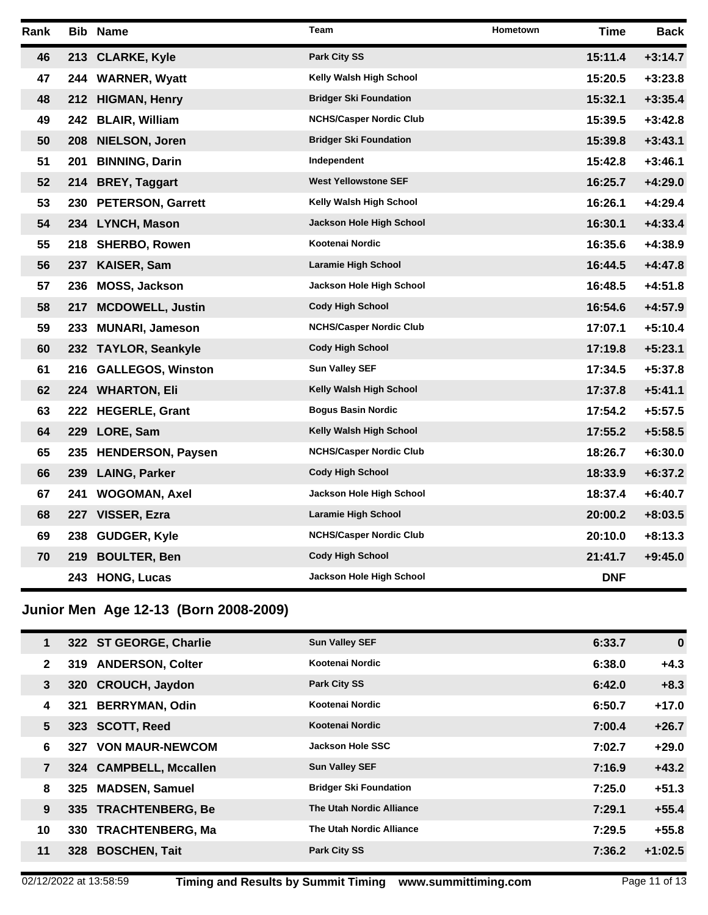| Rank |     | <b>Bib Name</b>         | <b>Team</b>                    | Hometown | <b>Time</b> | <b>Back</b> |
|------|-----|-------------------------|--------------------------------|----------|-------------|-------------|
| 46   |     | 213 CLARKE, Kyle        | <b>Park City SS</b>            |          | 15:11.4     | $+3:14.7$   |
| 47   |     | 244 WARNER, Wyatt       | Kelly Walsh High School        |          | 15:20.5     | $+3:23.8$   |
| 48   |     | 212 HIGMAN, Henry       | <b>Bridger Ski Foundation</b>  |          | 15:32.1     | $+3:35.4$   |
| 49   |     | 242 BLAIR, William      | <b>NCHS/Casper Nordic Club</b> |          | 15:39.5     | $+3:42.8$   |
| 50   | 208 | <b>NIELSON, Joren</b>   | <b>Bridger Ski Foundation</b>  |          | 15:39.8     | $+3:43.1$   |
| 51   | 201 | <b>BINNING, Darin</b>   | Independent                    |          | 15:42.8     | $+3:46.1$   |
| 52   |     | 214 BREY, Taggart       | <b>West Yellowstone SEF</b>    |          | 16:25.7     | $+4:29.0$   |
| 53   |     | 230 PETERSON, Garrett   | Kelly Walsh High School        |          | 16:26.1     | $+4:29.4$   |
| 54   |     | 234 LYNCH, Mason        | Jackson Hole High School       |          | 16:30.1     | $+4:33.4$   |
| 55   |     | 218 SHERBO, Rowen       | Kootenai Nordic                |          | 16:35.6     | $+4:38.9$   |
| 56   |     | 237 KAISER, Sam         | <b>Laramie High School</b>     |          | 16:44.5     | $+4:47.8$   |
| 57   |     | 236 MOSS, Jackson       | Jackson Hole High School       |          | 16:48.5     | $+4:51.8$   |
| 58   | 217 | <b>MCDOWELL, Justin</b> | <b>Cody High School</b>        |          | 16:54.6     | $+4:57.9$   |
| 59   | 233 | <b>MUNARI, Jameson</b>  | <b>NCHS/Casper Nordic Club</b> |          | 17:07.1     | $+5:10.4$   |
| 60   |     | 232 TAYLOR, Seankyle    | <b>Cody High School</b>        |          | 17:19.8     | $+5:23.1$   |
| 61   |     | 216 GALLEGOS, Winston   | <b>Sun Valley SEF</b>          |          | 17:34.5     | $+5:37.8$   |
| 62   |     | 224 WHARTON, Eli        | Kelly Walsh High School        |          | 17:37.8     | $+5:41.1$   |
| 63   |     | 222 HEGERLE, Grant      | <b>Bogus Basin Nordic</b>      |          | 17:54.2     | $+5:57.5$   |
| 64   | 229 | LORE, Sam               | Kelly Walsh High School        |          | 17:55.2     | $+5:58.5$   |
| 65   |     | 235 HENDERSON, Paysen   | <b>NCHS/Casper Nordic Club</b> |          | 18:26.7     | $+6:30.0$   |
| 66   | 239 | <b>LAING, Parker</b>    | <b>Cody High School</b>        |          | 18:33.9     | $+6:37.2$   |
| 67   | 241 | <b>WOGOMAN, Axel</b>    | Jackson Hole High School       |          | 18:37.4     | $+6:40.7$   |
| 68   | 227 | VISSER, Ezra            | Laramie High School            |          | 20:00.2     | $+8:03.5$   |
| 69   | 238 | GUDGER, Kyle            | <b>NCHS/Casper Nordic Club</b> |          | 20:10.0     | $+8:13.3$   |
| 70   | 219 | <b>BOULTER, Ben</b>     | <b>Cody High School</b>        |          | 21:41.7     | $+9:45.0$   |
|      |     | 243 HONG, Lucas         | Jackson Hole High School       |          | <b>DNF</b>  |             |

# **Junior Men Age 12-13 (Born 2008-2009)**

| 1            |     | 322 ST GEORGE, Charlie  | <b>Sun Valley SEF</b>           | 6:33.7 | $\bf{0}$  |
|--------------|-----|-------------------------|---------------------------------|--------|-----------|
| $\mathbf{2}$ |     | 319 ANDERSON, Colter    | Kootenai Nordic                 | 6:38.0 | $+4.3$    |
| 3            |     | 320 CROUCH, Jaydon      | <b>Park City SS</b>             | 6:42.0 | $+8.3$    |
| 4            | 321 | <b>BERRYMAN, Odin</b>   | Kootenai Nordic                 | 6:50.7 | $+17.0$   |
| 5            |     | 323 SCOTT, Reed         | Kootenai Nordic                 | 7:00.4 | $+26.7$   |
| 6            |     | 327 VON MAUR-NEWCOM     | Jackson Hole SSC                | 7:02.7 | $+29.0$   |
| 7            |     | 324 CAMPBELL, Mccallen  | <b>Sun Valley SEF</b>           | 7:16.9 | $+43.2$   |
| 8            | 325 | <b>MADSEN, Samuel</b>   | <b>Bridger Ski Foundation</b>   | 7:25.0 | $+51.3$   |
| 9            |     | 335 TRACHTENBERG, Be    | <b>The Utah Nordic Alliance</b> | 7:29.1 | $+55.4$   |
| 10           | 330 | <b>TRACHTENBERG, Ma</b> | The Utah Nordic Alliance        | 7:29.5 | $+55.8$   |
| 11           | 328 | <b>BOSCHEN, Tait</b>    | <b>Park City SS</b>             | 7:36.2 | $+1:02.5$ |
|              |     |                         |                                 |        |           |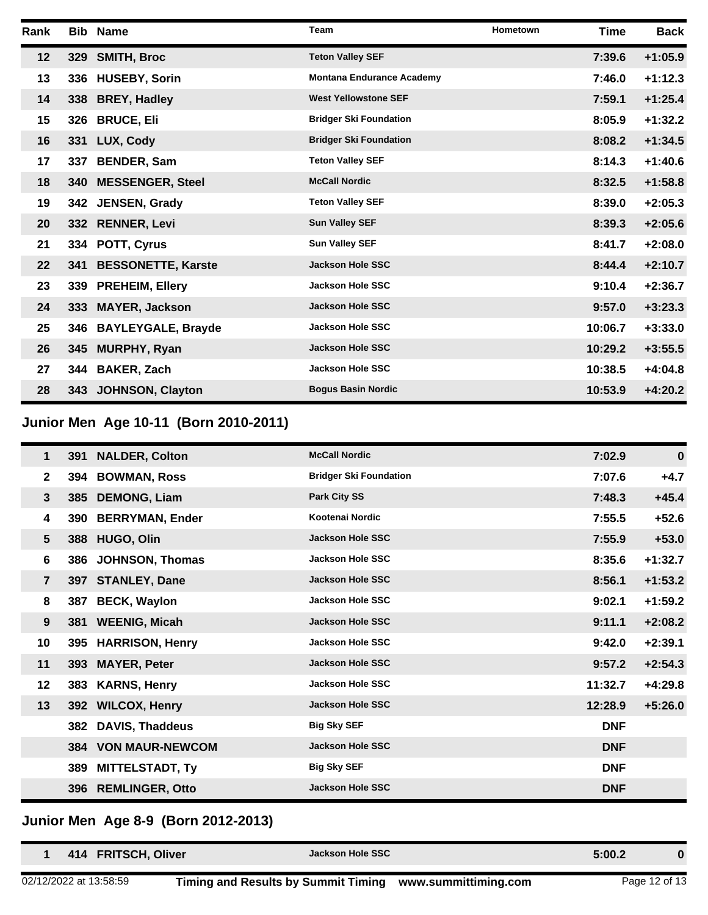| Rank |     | <b>Bib Name</b>           | <b>Team</b>                      | Hometown | <b>Time</b> | <b>Back</b> |
|------|-----|---------------------------|----------------------------------|----------|-------------|-------------|
| 12   | 329 | <b>SMITH, Broc</b>        | <b>Teton Valley SEF</b>          |          | 7:39.6      | $+1:05.9$   |
| 13   | 336 | <b>HUSEBY, Sorin</b>      | <b>Montana Endurance Academy</b> |          | 7:46.0      | $+1:12.3$   |
| 14   |     | 338 BREY, Hadley          | <b>West Yellowstone SEF</b>      |          | 7:59.1      | $+1:25.4$   |
| 15   | 326 | <b>BRUCE, Eli</b>         | <b>Bridger Ski Foundation</b>    |          | 8:05.9      | $+1:32.2$   |
| 16   |     | 331 LUX, Cody             | <b>Bridger Ski Foundation</b>    |          | 8:08.2      | $+1:34.5$   |
| 17   | 337 | <b>BENDER, Sam</b>        | <b>Teton Valley SEF</b>          |          | 8:14.3      | $+1:40.6$   |
| 18   |     | 340 MESSENGER, Steel      | <b>McCall Nordic</b>             |          | 8:32.5      | $+1:58.8$   |
| 19   |     | 342 JENSEN, Grady         | <b>Teton Valley SEF</b>          |          | 8:39.0      | $+2:05.3$   |
| 20   |     | 332 RENNER, Levi          | <b>Sun Valley SEF</b>            |          | 8:39.3      | $+2:05.6$   |
| 21   |     | 334 POTT, Cyrus           | <b>Sun Valley SEF</b>            |          | 8:41.7      | $+2:08.0$   |
| 22   | 341 | <b>BESSONETTE, Karste</b> | <b>Jackson Hole SSC</b>          |          | 8:44.4      | $+2:10.7$   |
| 23   | 339 | <b>PREHEIM, Ellery</b>    | <b>Jackson Hole SSC</b>          |          | 9:10.4      | $+2:36.7$   |
| 24   | 333 | <b>MAYER, Jackson</b>     | <b>Jackson Hole SSC</b>          |          | 9:57.0      | $+3:23.3$   |
| 25   | 346 | <b>BAYLEYGALE, Brayde</b> | <b>Jackson Hole SSC</b>          |          | 10:06.7     | $+3:33.0$   |
| 26   | 345 | <b>MURPHY, Ryan</b>       | <b>Jackson Hole SSC</b>          |          | 10:29.2     | $+3:55.5$   |
| 27   | 344 | <b>BAKER, Zach</b>        | <b>Jackson Hole SSC</b>          |          | 10:38.5     | $+4:04.8$   |
| 28   |     | 343 JOHNSON, Clayton      | <b>Bogus Basin Nordic</b>        |          | 10:53.9     | $+4:20.2$   |

# **Junior Men Age 10-11 (Born 2010-2011)**

| 1               | <b>391</b> | <b>NALDER, Colton</b>      | <b>McCall Nordic</b>          | 7:02.9     | $\bf{0}$  |
|-----------------|------------|----------------------------|-------------------------------|------------|-----------|
| $\mathbf{2}$    |            | 394 BOWMAN, Ross           | <b>Bridger Ski Foundation</b> | 7:07.6     | $+4.7$    |
| 3               |            | 385 DEMONG, Liam           | <b>Park City SS</b>           | 7:48.3     | $+45.4$   |
| 4               | <b>390</b> | <b>BERRYMAN, Ender</b>     | Kootenai Nordic               | 7:55.5     | $+52.6$   |
| $5\phantom{.0}$ |            | 388 HUGO, Olin             | <b>Jackson Hole SSC</b>       | 7:55.9     | $+53.0$   |
| 6               | 386        | <b>JOHNSON, Thomas</b>     | <b>Jackson Hole SSC</b>       | 8:35.6     | $+1:32.7$ |
| $\overline{7}$  |            | 397 STANLEY, Dane          | <b>Jackson Hole SSC</b>       | 8:56.1     | $+1:53.2$ |
| 8               | 387        | <b>BECK, Waylon</b>        | <b>Jackson Hole SSC</b>       | 9:02.1     | $+1:59.2$ |
| 9               |            | 381 WEENIG, Micah          | <b>Jackson Hole SSC</b>       | 9:11.1     | $+2:08.2$ |
| 10              | 395        | <b>HARRISON, Henry</b>     | <b>Jackson Hole SSC</b>       | 9:42.0     | $+2:39.1$ |
| 11              | 393        | <b>MAYER, Peter</b>        | <b>Jackson Hole SSC</b>       | 9:57.2     | $+2:54.3$ |
| 12              | 383        | <b>KARNS, Henry</b>        | <b>Jackson Hole SSC</b>       | 11:32.7    | $+4:29.8$ |
| 13              |            | 392 WILCOX, Henry          | <b>Jackson Hole SSC</b>       | 12:28.9    | $+5:26.0$ |
|                 | 382        | <b>DAVIS, Thaddeus</b>     | <b>Big Sky SEF</b>            | <b>DNF</b> |           |
|                 |            | <b>384 VON MAUR-NEWCOM</b> | <b>Jackson Hole SSC</b>       | <b>DNF</b> |           |
|                 | 389        | <b>MITTELSTADT, Ty</b>     | <b>Big Sky SEF</b>            | <b>DNF</b> |           |
|                 |            | 396 REMLINGER, Otto        | <b>Jackson Hole SSC</b>       | <b>DNF</b> |           |

#### **Junior Men Age 8-9 (Born 2012-2013)**

| 414 FRITSCH, Oliver    | <b>Jackson Hole SSC</b>                                  | 5:00.2        |  |
|------------------------|----------------------------------------------------------|---------------|--|
| 02/12/2022 at 13:58:59 | Timing and Results by Summit Timing www.summittiming.com | Page 12 of 13 |  |